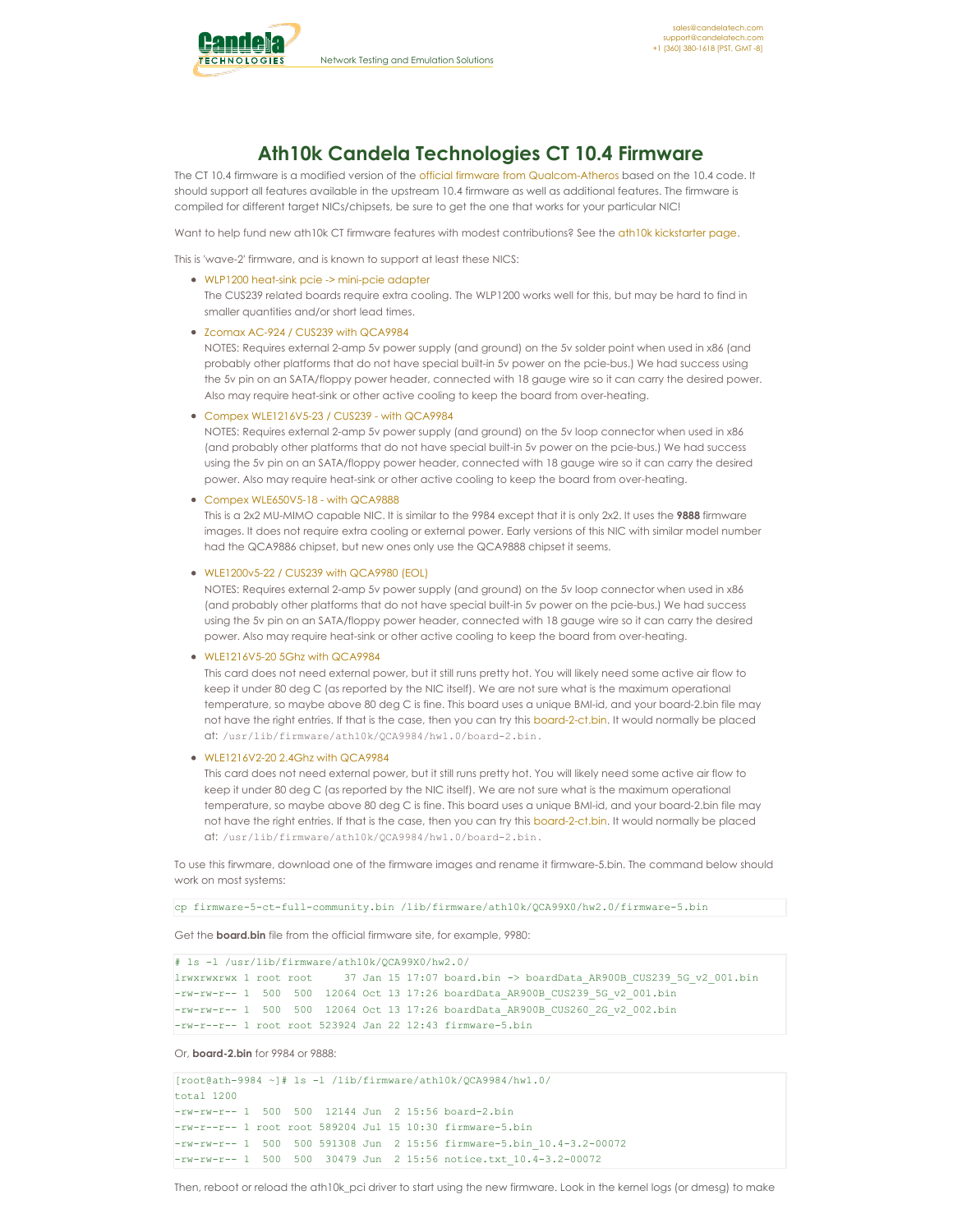<span id="page-0-0"></span>

# **Ath10k Candela Technologies CT 10.4 Firmware**

The CT 10.4 firmware is a modified version of the official firmware from [Qualcom-Atheros](http://wireless.kernel.org/en/users/Drivers/ath10k/firmware) based on the 10.4 code. It should support all features available in the upstream 10.4 firmware as well as additional features. The firmware is compiled for different target NICs/chipsets, be sure to get the one that works for your particular NIC!

Want to help fund new ath10k CT firmware features with modest contributions? See the ath10k [kickstarter](http://www.candelatech.com/ath10k_kickstarter.php) page.

This is 'wave-2' firmware, and is known to support at least these NICS:

WLP1200 heat-sink pcie -> [mini-pcie](http://www.compex.com.sg/product/wlp1200/) adapter

The CUS239 related boards require extra cooling. The WLP1200 works well for this, but may be hard to find in smaller quantities and/or short lead times.

• Zcomax AC-924 / CUS239 with [QCA9984](http://www.zcomax.com/ZCN-AC924.php)

NOTES: Requires external 2-amp 5v power supply (and ground) on the 5v solder point when used in x86 (and probably other platforms that do not have special built-in 5v power on the pcie-bus.) We had success using the 5v pin on an SATA/floppy power header, connected with 18 gauge wire so it can carry the desired power. Also may require heat-sink or other active cooling to keep the board from over-heating.

# Compex [WLE1216V5-23](http://www.compex.com.sg/product/wle1216v5-23/) / CUS239 - with QCA9984

NOTES: Requires external 2-amp 5v power supply (and ground) on the 5v loop connector when used in x86 (and probably other platforms that do not have special built-in 5v power on the pcie-bus.) We had success using the 5v pin on an SATA/floppy power header, connected with 18 gauge wire so it can carry the desired power. Also may require heat-sink or other active cooling to keep the board from over-heating.

#### Compex [WLE650V5-18](http://www.compex.com.sg/product/wle650v5-18/) - with QCA9888

This is a 2x2 MU-MIMO capable NIC. It is similar to the 9984 except that it is only 2x2. It uses the **9888** firmware images. It does not require extra cooling or external power. Early versions of this NIC with similar model number had the QCA9886 chipset, but new ones only use the QCA9888 chipset it seems.

# [WLE1200v5-22](http://www.embeddedworks.net/wlan602.html) / CUS239 with QCA9980 (EOL)

NOTES: Requires external 2-amp 5v power supply (and ground) on the 5v loop connector when used in x86 (and probably other platforms that do not have special built-in 5v power on the pcie-bus.) We had success using the 5v pin on an SATA/floppy power header, connected with 18 gauge wire so it can carry the desired power. Also may require heat-sink or other active cooling to keep the board from over-heating.

### [WLE1216V5-20](https://compex.com.sg/shop/wifi-module/mu-mimo-802-11ac-wave-2/wle1216v5-20/) 5Ghz with QCA9984

This card does not need external power, but it still runs pretty hot. You will likely need some active air flow to keep it under 80 deg C (as reported by the NIC itself). We are not sure what is the maximum operational temperature, so maybe above 80 deg C is fine. This board uses a unique BMI-id, and your board-2.bin file may not have the right entries. If that is the case, then you can try this [board-2-ct.bin](http://www.candelatech.com/downloads/ath10k-9984-10-4/board-2-ct.bin). It would normally be placed at: /usr/lib/firmware/ath10k/QCA9984/hw1.0/board-2.bin .

#### $\bullet$  WIF1216V2-20 2.4Ghz with QCA9984

This card does not need external power, but it still runs pretty hot. You will likely need some active air flow to keep it under 80 deg C (as reported by the NIC itself). We are not sure what is the maximum operational temperature, so maybe above 80 deg C is fine. This board uses a unique BMI-id, and your board-2.bin file may not have the right entries. If that is the case, then you can try this [board-2-ct.bin](http://www.candelatech.com/downloads/ath10k-9984-10-4/board-2-ct.bin). It would normally be placed at: /usr/lib/firmware/ath10k/QCA9984/hw1.0/board-2.bin .

To use this firwmare, download one of the firmware images and rename it firmware-5.bin. The command below should work on most systems:

cp firmware-5-ct-full-community.bin /lib/firmware/ath10k/QCA99X0/hw2.0/firmware-5.bin

Get the **board.bin** file from the official firmware site, for example, 9980:

```
# ls -l /usr/lib/firmware/ath10k/QCA99X0/hw2.0/
lrwxrwxrwx 1 root root 37 Jan 15 17:07 board.bin -> boardData_AR900B_CUS239_5G_v2_001.bin
-rw-rw-r-- 1 500 500 12064 Oct 13 17:26 boardData_AR900B_CUS239_5G_v2_001.bin
-rw-rw-r-- 1 500 500 12064 Oct 13 17:26 boardData_AR900B_CUS260_2G_v2_002.bin
-rw-r--r-- 1 root root 523924 Jan 22 12:43 firmware-5.bin
```

```
Or, board-2.bin for 9984 or 9888:
```

```
[root@ath-9984 ~]# ls -l /lib/firmware/ath10k/QCA9984/hw1.0/
total 1200
-rw-rw-r-- 1 500 500 12144 Jun 2 15:56 board-2.bin
-rw-r--r-- 1 root root 589204 Jul 15 10:30 firmware-5.bin
-rw-rw-r-- 1 500 500 591308 Jun 2 15:56 firmware-5.bin_10.4-3.2-00072
-rw-rw-r-- 1 500 500 30479 Jun 2 15:56 notice.txt_10.4-3.2-00072
```
Then, reboot or reload the ath10k pci driver to start using the new firmware. Look in the kernel logs (or dmesg) to make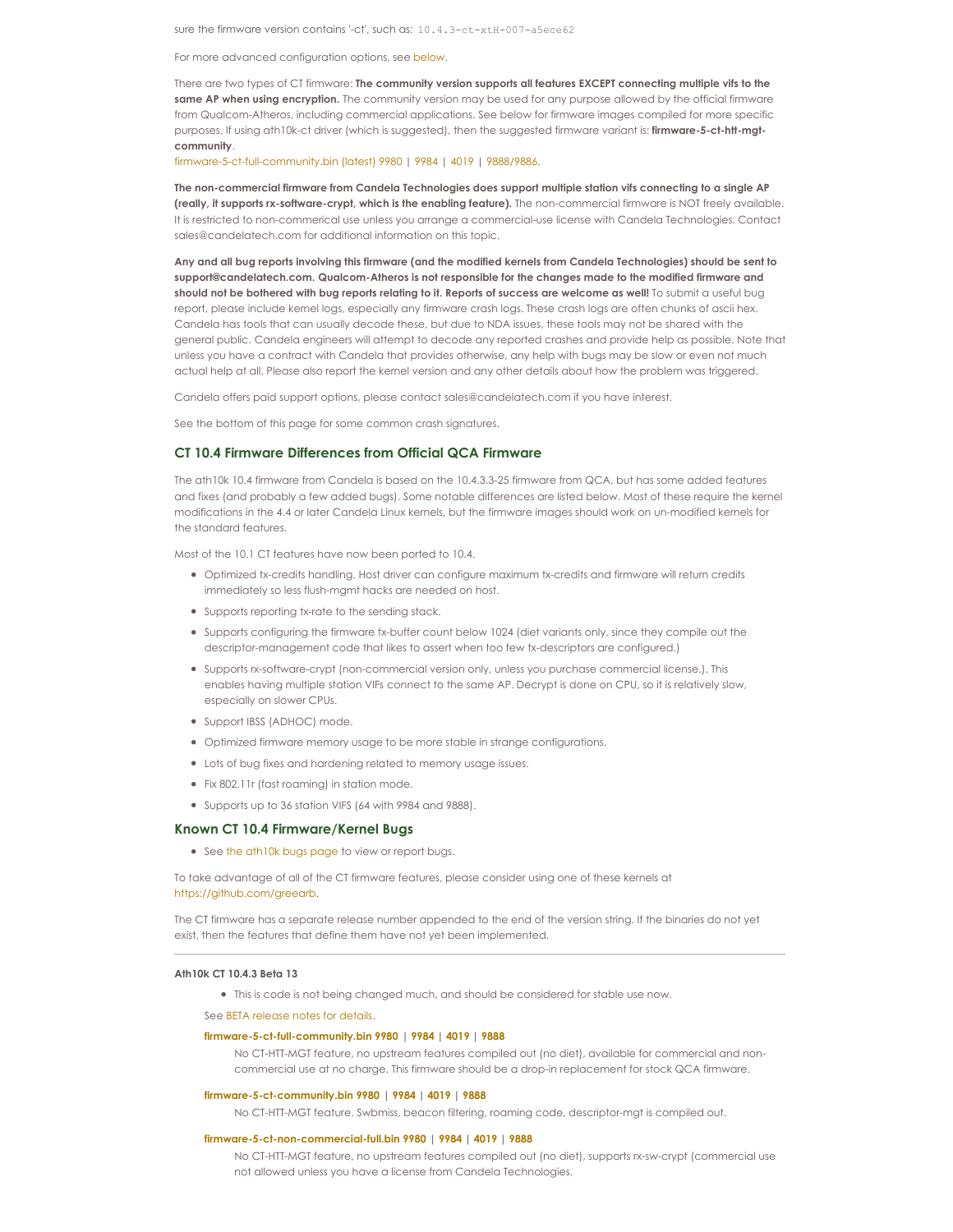sure the firmware version contains '-ct', such as: 10.4.3-ct-xtH-007-a5ece62

For more advanced configuration options, see [below](#page-0-0).

There are two types of CT firmware: **The community version supports all features EXCEPT connecting multiple vifs to the same AP when using encryption.** The community version may be used for any purpose allowed by the official firmware from Qualcom-Atheros, including commercial applications. See below for firmware images compiled for more specific purposes. If using ath10k-ct driver (which is suggested), then the suggested firmware variant is: **firmware-5-ct-htt-mgtcommunity**.

[firmware-5-ct-full-community.bin](http://www.candelatech.com/downloads/ath10k-10-4/firmware-5-ct-full-community.bin) (latest) 9980 | [9984](http://www.candelatech.com/downloads/ath10k-9984-10-4/firmware-5-ct-full-community.bin) | [4019](http://www.candelatech.com/downloads/ath10k-4019-10-4/firmware-5-ct-full-community.bin) | [9888/9886](http://www.candelatech.com/downloads/ath10k-9888-10-4/firmware-5-ct-full-community.bin).

The non-commercial firmware from Candela Technologies does support multiple station vifs connecting to a single AP **(really, it supports rx-software-crypt, which is the enabling feature).** The non-commercial firmware is NOT freely available. It is restricted to non-commerical use unless you arrange a commercial-use license with Candela Technologies. Contact sales@candelatech.com for additional information on this topic.

Any and all bug reports involving this firmware (and the modified kernels from Candela Technologies) should be sent to **support@candelatech.com. Qualcom-Atheros is not responsible for the changes made to the modified firmware and** should not be bothered with bug reports relating to it. Reports of success are welcome as well! To submit a useful bug report, please include kernel logs, especially any firmware crash logs. These crash logs are often chunks of ascii hex. Candela has tools that can usually decode these, but due to NDA issues, these tools may not be shared with the general public. Candela engineers will attempt to decode any reported crashes and provide help as possible. Note that unless you have a contract with Candela that provides otherwise, any help with bugs may be slow or even not much actual help at all. Please also report the kernel version and any other details about how the problem was triggered.

Candela offers paid support options, please contact sales@candelatech.com ifyou have interest.

See the bottom of this page for some common crash signatures.

# **CT 10.4 Firmware Differences from Official QCA Firmware**

The ath10k 10.4 firmware from Candela is based on the 10.4.3.3-25 firmware from QCA, but has some added features and fixes (and probably a few added bugs). Some notable differences are listed below. Most of these require the kernel modifications in the 4.4 or later Candela Linux kernels, but the firmware images should work on un-modified kernels for the standard features.

Most of the 10.1 CT features have now been ported to 10.4.

- Optimized tx-credits handling. Host driver can configure maximum tx-credits and firmware will return credits immediately so less flush-mgmt hacks are needed on host.
- Supports reporting tx-rate to the sending stack.
- Supports configuring the firmware tx-buffer count below 1024 (diet variants only, since they compile out the descriptor-management code that likes to assert when too few tx-descriptors are configured.)
- Supports rx-software-crypt (non-commercial version only, unless you purchase commercial license.). This enables having multiple station VIFs connect to the same AP. Decrypt is done on CPU, so it is relatively slow, especially on slower CPUs.
- Support IBSS (ADHOC) mode.
- Optimized firmware memory usage to be more stable in strange configurations.
- Lots of bug fixes and hardening related to memory usage issues.
- Fix 802.11r (fast roaming) in station mode.
- Supports up to 36 station VIFS (64 with 9984 and 9888).

# **Known CT 10.4 Firmware/Kernel Bugs**

• See the [ath10k](http://www.candelatech.com/ath10k-bugs.php) bugs page to view or report bugs.

To take advantage of all of the CT firmware features, please consider using one of these kernels at <https://github.com/greearb>.

The CT firmware has a separate release number appended to the end of the version string. If the binaries do not yet exist, then the features that define them have not yet been implemented.

## **Ath10k CT 10.4.3 Beta 13**

This is code is not being changed much, and should be considered for stable use now.

See BETA [release](http://www.candelatech.com/downloads/ath10k-10-4b/ath10k-fw-beta/release_notes_5.txt) notes for details.

# **[firmware-5-ct-full-community.bin](http://www.candelatech.com/downloads/ath10k-10-4b/ath10k-fw-beta/firmware-5-ct-full-community.bin) 9980 | [9984](http://www.candelatech.com/downloads/ath10k-9984-10-4b/ath10k-fw-beta/firmware-5-ct-full-community.bin) | [4019](http://www.candelatech.com/downloads/ath10k-4019-10-4b/ath10k-fw-beta/firmware-5-ct-full-community.bin) | [9888](http://www.candelatech.com/downloads/ath10k-9888-10-4b/ath10k-fw-beta/firmware-5-ct-full-community.bin)**

No CT-HTT-MGT feature, no upstream features compiled out (no diet), available for commercial and noncommercial use at no charge. This firmware should be a drop-in replacement for stock QCA firmware.

#### **[firmware-5-ct-community.bin](http://www.candelatech.com/downloads/ath10k-10-4b/ath10k-fw-beta/firmware-5-ct-community.bin) 9980 | [9984](http://www.candelatech.com/downloads/ath10k-9984-10-4b/ath10k-fw-beta/firmware-5-ct-community.bin) | [4019](http://www.candelatech.com/downloads/ath10k-4019-10-4b/ath10k-fw-beta/firmware-5-ct-community.bin) | [9888](http://www.candelatech.com/downloads/ath10k-9888-10-4b/ath10k-fw-beta/firmware-5-ct-community.bin)**

No CT-HTT-MGT feature. Swbmiss, beacon filtering, roaming code, descriptor-mgt is compiled out.

# **[firmware-5-ct-non-commercial-full.bin](http://www.candelatech.com/downloads/ath10k-10-4b/ath10k-fw-beta/firmware-5-ct-non-commercial-full.bin) 9980 | [9984](http://www.candelatech.com/downloads/ath10k-9984-10-4b/ath10k-fw-beta/firmware-5-ct-non-commercial-full.bin) | [4019](http://www.candelatech.com/downloads/ath10k-4019-10-4b/ath10k-fw-beta/firmware-5-ct-non-commercial-full.bin) | [9888](http://www.candelatech.com/downloads/ath10k-9888-10-4b/ath10k-fw-beta/firmware-5-ct-non-commercial-full.bin)**

No CT-HTT-MGT feature, no upstream features compiled out (no diet), supports rx-sw-crypt (commercial use not allowed unless you have a license from Candela Technologies.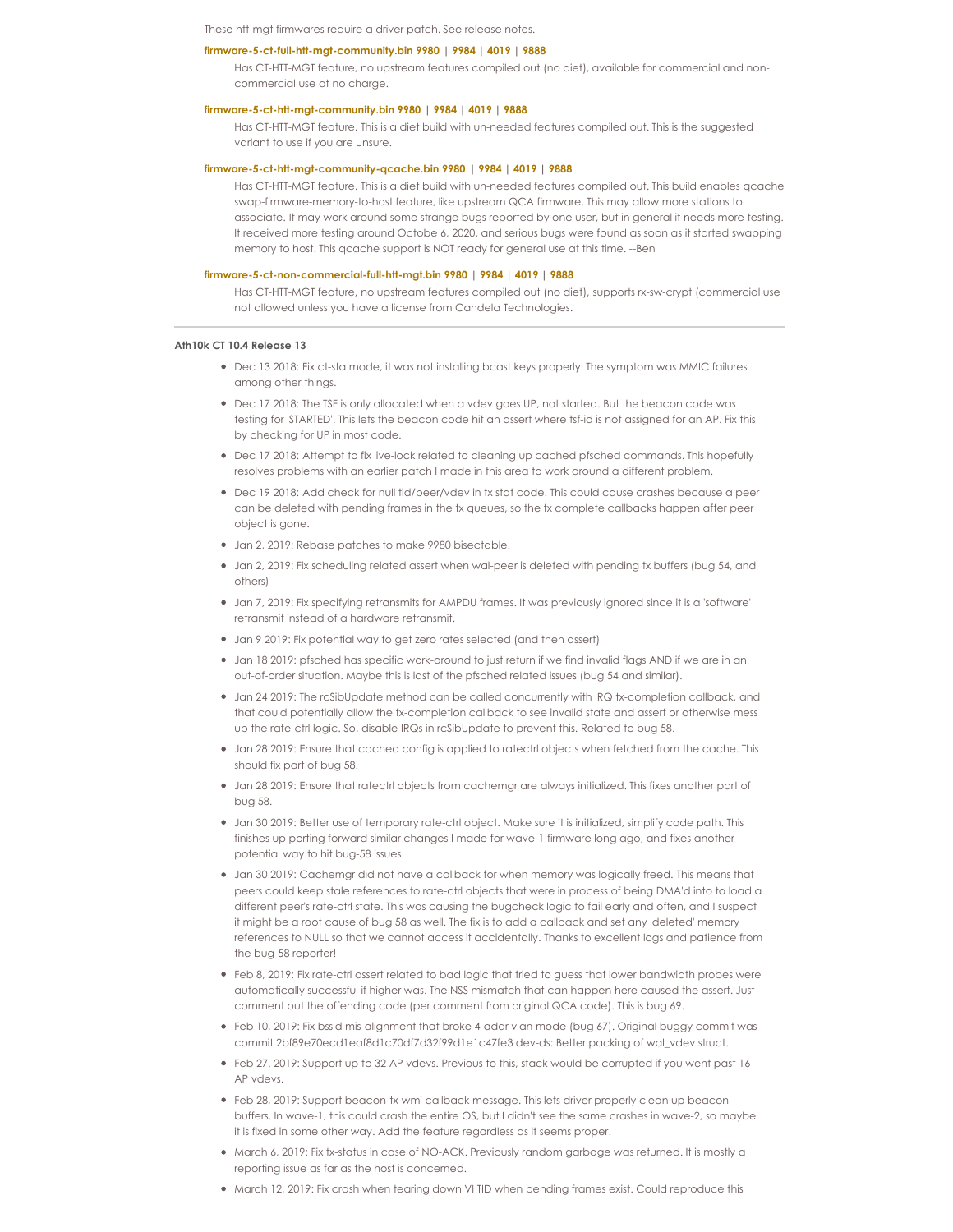These htt-mgt firmwares require a driver patch. See release notes.

#### **[firmware-5-ct-full-htt-mgt-community.bin](http://www.candelatech.com/downloads/ath10k-10-4b/ath10k-fw-beta/firmware-5-ct-full-htt-mgt-community.bin) 9980 | [9984](http://www.candelatech.com/downloads/ath10k-9984-10-4b/ath10k-fw-beta/firmware-5-ct-full-htt-mgt-community.bin) | [4019](http://www.candelatech.com/downloads/ath10k-4019-10-4b/ath10k-fw-beta/firmware-5-ct-full-htt-mgt-community.bin) | [9888](http://www.candelatech.com/downloads/ath10k-9888-10-4b/ath10k-fw-beta/firmware-5-ct-full-htt-mgt-community.bin)**

Has CT-HTT-MGT feature, no upstream features compiled out (no diet), available for commercial and noncommercial use at no charge.

# **[firmware-5-ct-htt-mgt-community.bin](http://www.candelatech.com/downloads/ath10k-10-4b/ath10k-fw-beta/firmware-5-ct-htt-mgt-community.bin) 9980 | [9984](http://www.candelatech.com/downloads/ath10k-9984-10-4b/ath10k-fw-beta/firmware-5-ct-htt-mgt-community.bin) | [4019](http://www.candelatech.com/downloads/ath10k-4019-10-4b/ath10k-fw-beta/firmware-5-ct-htt-mgt-community.bin) | [9888](http://www.candelatech.com/downloads/ath10k-9888-10-4b/ath10k-fw-beta/firmware-5-ct-htt-mgt-community.bin)**

Has CT-HTT-MGT feature. This is a diet build with un-needed features compiled out. This is the suggested variant to use if you are unsure.

# **[firmware-5-ct-htt-mgt-community-qcache.bin](http://www.candelatech.com/downloads/ath10k-10-4b/ath10k-fw-beta/firmware-5-ct-htt-mgt-community-qcache.bin) 9980 | [9984](http://www.candelatech.com/downloads/ath10k-9984-10-4b/ath10k-fw-beta/firmware-5-ct-htt-mgt-community-qcache.bin) | [4019](http://www.candelatech.com/downloads/ath10k-4019-10-4b/ath10k-fw-beta/firmware-5-ct-htt-mgt-community-qcache.bin) | [9888](http://www.candelatech.com/downloads/ath10k-9888-10-4b/ath10k-fw-beta/firmware-5-ct-htt-mgt-community-qcache.bin)**

Has CT-HTT-MGT feature. This is a diet build with un-needed features compiled out. This build enables qcache swap-firmware-memory-to-host feature, like upstream QCA firmware. This may allow more stations to associate. It may work around some strange bugs reported by one user, but in general it needs more testing. It received more testing around Octobe 6, 2020, and serious bugs were found as soon as it started swapping memory to host. This qcache support is NOT ready for general use at this time. --Ben

# **[firmware-5-ct-non-commercial-full-htt-mgt.bin](http://www.candelatech.com/downloads/ath10k-10-4b/ath10k-fw-beta/firmware-5-ct-non-commercial-full-htt-mgt.bin) 9980 | [9984](http://www.candelatech.com/downloads/ath10k-9984-10-4b/ath10k-fw-beta/firmware-5-ct-non-commercial-full-htt-mgt.bin) | [4019](http://www.candelatech.com/downloads/ath10k-4019-10-4b/ath10k-fw-beta/firmware-5-ct-non-commercial-full-htt-mgt.bin) | [9888](http://www.candelatech.com/downloads/ath10k-9888-10-4b/ath10k-fw-beta/firmware-5-ct-non-commercial-full-htt-mgt.bin)**

Has CT-HTT-MGT feature, no upstream features compiled out (no diet), supports rx-sw-crypt (commercial use not allowed unless you have a license from Candela Technologies.

#### **Ath10k CT 10.4 Release 13**

- Dec 13 2018: Fix ct-sta mode, it was not installing bcast keys properly. The symptom was MMIC failures among other things.
- Dec 17 2018: The TSF is only allocated when a vdev goes UP, not started. But the beacon code was testing for 'STARTED'. This lets the beacon code hit an assert where tsf-id is not assigned for an AP. Fix this by checking for UP in most code.
- Dec 17 2018: Attempt to fix live-lock related to cleaning up cached pfsched commands. This hopefully resolves problems with an earlier patch I made in this area to work around a different problem.
- Dec 19 2018: Add check for null tid/peer/vdev in tx stat code. This could cause crashes because a peer can be deleted with pending frames in the tx queues, so the tx complete callbacks happen after peer object is gone.
- Jan 2, 2019: Rebase patches to make 9980 bisectable.
- Jan 2, 2019: Fix scheduling related assert when wal-peer is deleted with pending tx buffers (bug 54, and others)
- Jan 7, 2019: Fix specifying retransmits for AMPDU frames. It was previously ignored since it is a 'software' retransmit instead of a hardware retransmit.
- Jan 9 2019: Fix potential way to get zero rates selected (and then assert)
- Jan 18 2019: pfsched has specific work-around to just return if we find invalid flags AND if we are in an out-of-order situation. Maybe this is last of the pfsched related issues (bug 54 and similar).
- Jan 24 2019: The rcSibUpdate method can be called concurrently with IRQ tx-completion callback, and that could potentially allow the tx-completion callback to see invalid state and assert or otherwise mess up the rate-ctrl logic. So, disable IRQs in rcSibUpdate to prevent this. Related to bug 58.
- Jan 28 2019: Ensure that cached config is applied to ratectrl objects when fetched from the cache. This should fix part of bug 58.
- Jan 28 2019: Ensure that ratectrl objects from cachemgr are always initialized. This fixes another part of bug 58.
- Jan 30 2019: Better use of temporary rate-ctrl object. Make sure it is initialized, simplify code path. This finishes up porting forward similar changes I made for wave-1 firmware long ago, and fixes another potential way to hit bug-58 issues.
- Jan 30 2019: Cachemgr did not have a callback for when memory was logically freed. This means that peers could keep stale references to rate-ctrl objects that were in process of being DMA'd into to load a different peer's rate-ctrl state. This was causing the bugcheck logic to fail early and often, and Isuspect it might be a root cause of bug 58 as well. The fix is to add a callback and set any 'deleted' memory references to NULL so that we cannot access it accidentally. Thanks to excellent logs and patience from the bug-58 reporter!
- Feb 8, 2019: Fix rate-ctrl assert related to bad logic that tried to guess that lower bandwidth probes were automatically successful if higher was. The NSS mismatch that can happen here caused the assert. Just comment out the offending code (per comment from original QCA code). This is bug 69.
- Feb 10, 2019: Fix bssid mis-alignment that broke 4-addr vlan mode (bug 67). Original buggy commit was commit 2bf89e70ecd1eaf8d1c70df7d32f99d1e1c47fe3 dev-ds: Better packing of wal\_vdev struct.
- Feb 27. 2019: Support up to 32 AP vdevs. Previous to this, stack would be corrupted if you went past 16 AP vdevs.
- Feb 28, 2019: Support beacon-tx-wmi callback message. This lets driver properly clean up beacon buffers. In wave-1, this could crash the entire OS, but I didn't see the same crashes in wave-2, so maybe it is fixed in some other way. Add the feature regardless as it seems proper.
- March 6, 2019: Fix tx-status in case of NO-ACK. Previously random garbage was returned. It is mostly a reporting issue as far as the host is concerned.
- March 12, 2019: Fix crash when tearing down VI TID when pending frames exist. Could reproduce this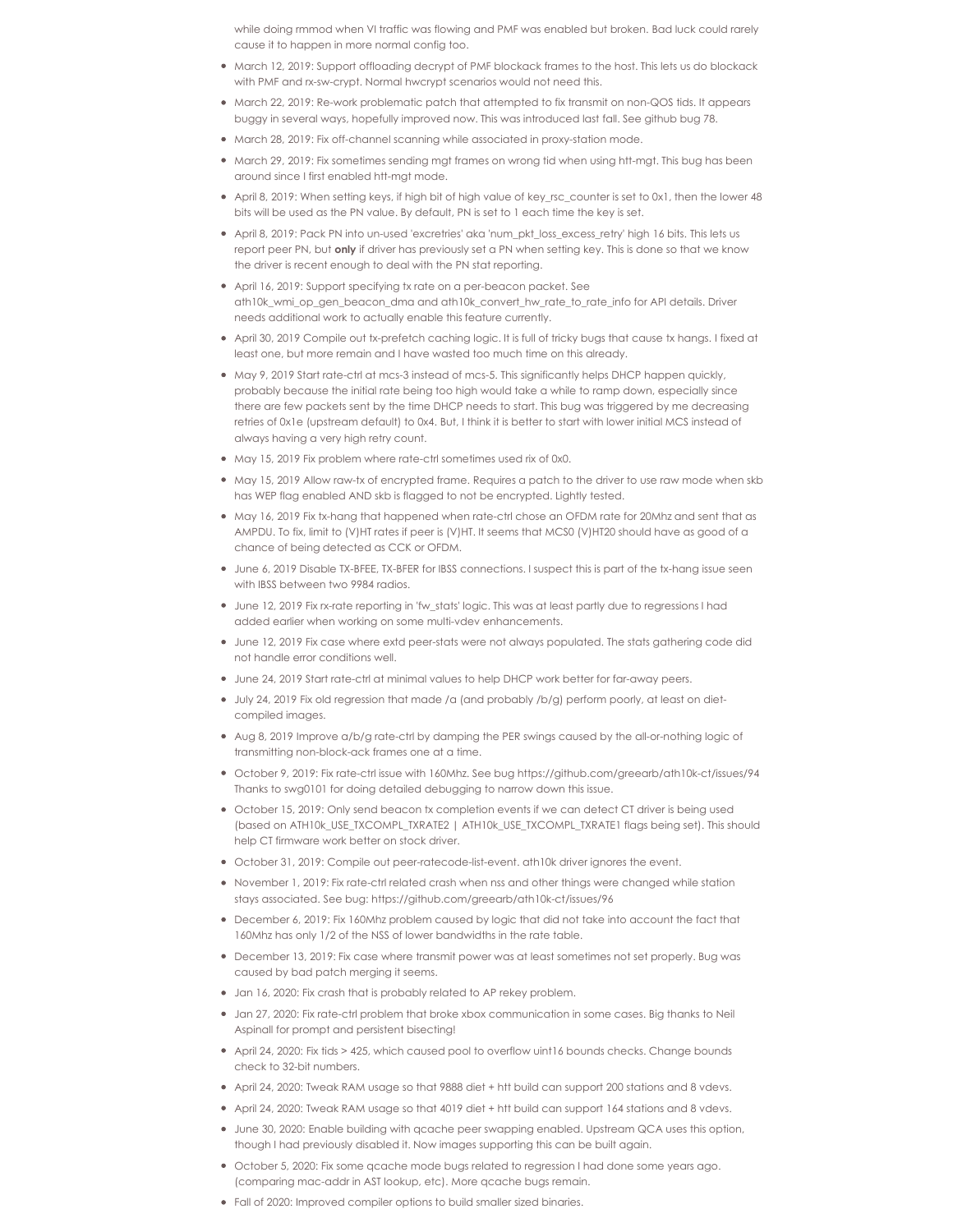while doing rmmod when VI traffic was flowing and PMF was enabled but broken. Bad luck could rarely cause it to happen in more normal config too.

- March 12, 2019: Support offloading decrypt of PMF blockack frames to the host. This lets us do blockack with PMF and rx-sw-crypt. Normal hwcrypt scenarios would not need this.
- March 22, 2019: Re-work problematic patch that attempted to fix transmit on non-QOS tids. It appears buggy in several ways, hopefully improved now. This was introduced last fall. See github bug 78.
- March 28, 2019: Fix off-channel scanning while associated in proxy-station mode.
- March 29, 2019: Fix sometimes sending mgt frames on wrong tid when using htt-mgt. This bug has been around since Ifirst enabled htt-mgt mode.
- April 8, 2019: When setting keys, if high bit of high value of key\_rsc\_counter is set to 0x1, then the lower 48 bits will be used as the PN value. By default, PN is set to 1 each time the key is set.
- April 8, 2019: Pack PN into un-used 'excretries' aka 'num\_pkt\_loss\_excess\_retry' high 16 bits. This lets us report peer PN, but **only** if driver has previously set a PN when setting key. This is done so that we know the driver is recent enough to deal with the PN stat reporting.
- April 16, 2019: Support specifying tx rate on a per-beacon packet. See ath10k\_wmi\_op\_gen\_beacon\_dma and ath10k\_convert\_hw\_rate\_to\_rate\_info for API details. Driver needs additional work to actually enable this feature currently.
- April 30, 2019 Compile out tx-prefetch caching logic. It is full of tricky bugs that cause tx hangs. I fixed at least one, but more remain and Ihave wasted too much time on this already.
- May 9, 2019 Start rate-ctrl at mcs-3 instead of mcs-5. This significantly helps DHCP happen quickly, probably because the initial rate being too high would take a while to ramp down, especially since there are few packets sent by the time DHCP needs to start. This bug was triggered by me decreasing retries of 0x1e (upstream default) to 0x4. But, I think it is better to start with lower initial MCS instead of always having a very high retry count.
- May 15, 2019 Fix problem where rate-ctrl sometimes used rix of 0x0.
- May 15, 2019 Allow raw-tx of encrypted frame. Requires a patch to the driver to use raw mode when skb has WEP flag enabled AND skb is flagged to not be encrypted. Lightly tested.
- $\bullet$  May 16, 2019 Fix tx-hang that happened when rate-ctrl chose an OFDM rate for 20Mhz and sent that as AMPDU. To fix, limit to (V)HT rates if peer is (V)HT. It seems that MCS0 (V)HT20 should have as good of a chance of being detected as CCK or OFDM.
- June 6, 2019 Disable TX-BFEE, TX-BFER for IBSS connections. I suspect this is part of the tx-hang issue seen with IBSS between two 9984 radios.
- June 12, 2019 Fix rx-rate reporting in 'fw stats' logic. This was at least partly due to regressions I had added earlier when working on some multi-vdev enhancements.
- June 12, 2019 Fix case where extd peer-stats were not always populated. The stats gathering code did not handle error conditions well.
- June 24, 2019 Start rate-ctrl at minimal values to help DHCP work better for far-away peers.
- July 24, 2019 Fix old regression that made /a (and probably /b/g) perform poorly, at least on dietcompiled images.
- Aug 8, 2019 Improve a/b/g rate-ctrl by damping the PER swings caused by the all-or-nothing logic of transmitting non-block-ack frames one at a time.
- October 9, 2019: Fix rate-ctrl issue with 160Mhz. See bug https://github.com/greearb/ath10k-ct/issues/94 Thanks to swg0101 for doing detailed debugging to narrow down this issue.
- October 15, 2019: Only send beacon tx completion events if we can detect CT driver is being used (based on ATH10k\_USE\_TXCOMPL\_TXRATE2 | ATH10k\_USE\_TXCOMPL\_TXRATE1 flags being set). This should help CT firmware work better on stock driver.
- October 31, 2019: Compile out peer-ratecode-list-event. ath10k driver ignores the event.
- November 1, 2019: Fix rate-ctrl related crash when nss and other things were changed while station stays associated. See bug: https://github.com/greearb/ath10k-ct/issues/96
- December 6, 2019: Fix 160Mhz problem caused by logic that did not take into account the fact that 160Mhz has only 1/2 of the NSS of lower bandwidths in the rate table.
- December 13, 2019: Fix case where transmit power was at least sometimes not set properly. Bug was caused by bad patch merging it seems.
- Jan 16, 2020: Fix crash that is probably related to AP rekey problem.
- Jan 27, 2020: Fix rate-ctrl problem that broke xbox communication in some cases. Big thanks to Neil Aspinall for prompt and persistent bisecting!
- April 24, 2020: Fix tids > 425, which caused pool to overflow uint16 bounds checks. Change bounds check to 32-bit numbers.
- April 24, 2020: Tweak RAM usage so that 9888 diet + htt build can support 200 stations and 8 vdevs.
- April 24, 2020: Tweak RAM usage so that 4019 diet + htt build can support 164 stations and 8 vdevs.
- June 30, 2020: Enable building with qcache peer swapping enabled. Upstream QCA uses this option, though I had previously disabled it. Now images supporting this can be built again.
- October 5, 2020: Fix some qcache mode bugs related to regression I had done some years ago. (comparing mac-addr in AST lookup, etc). More qcache bugs remain.
- Fall of 2020: Improved compiler options to build smaller sized binaries.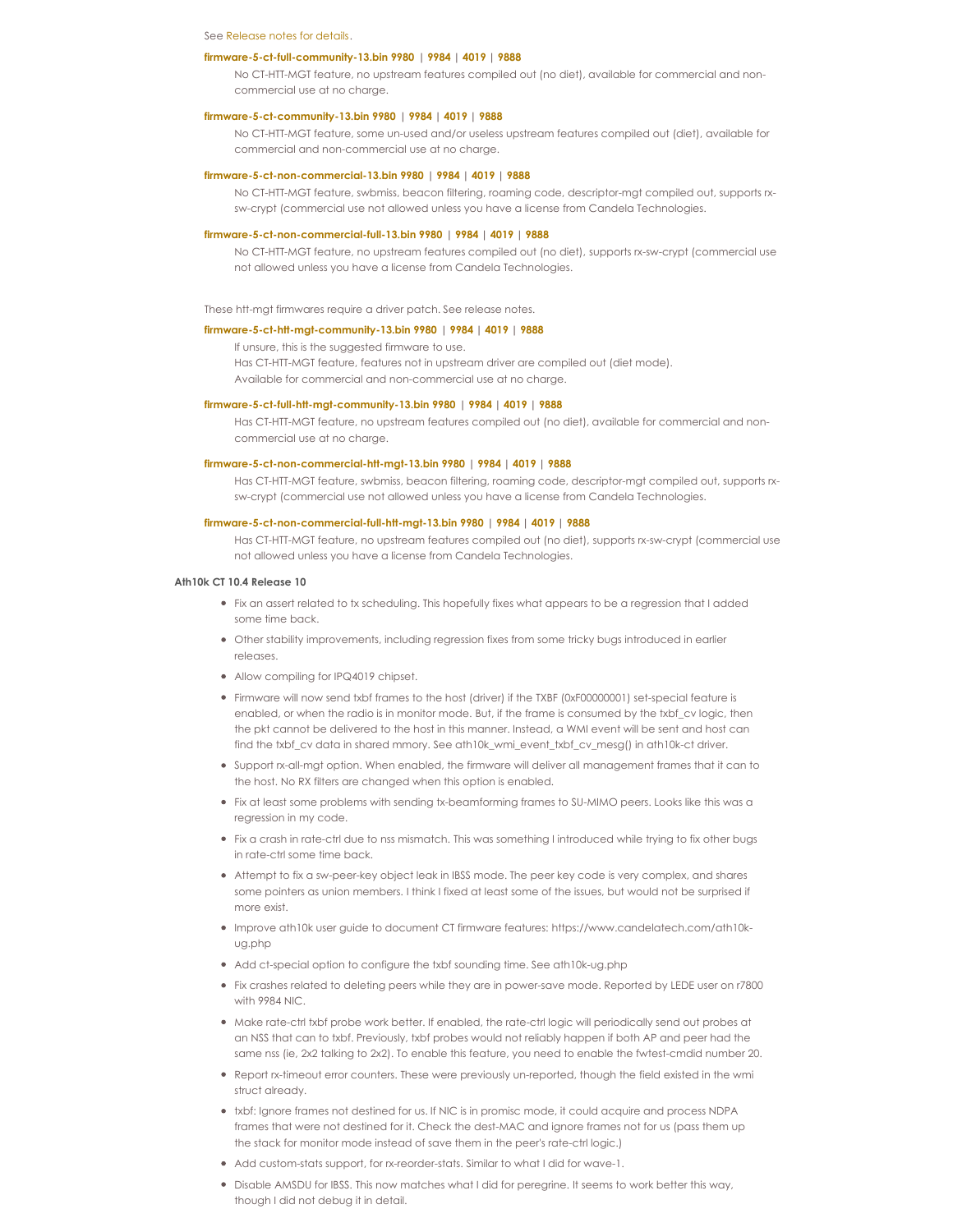#### See [Release](http://www.candelatech.com/downloads/ath10k-10-4b/ath10k_release_notes_5.txt) notes for details.

#### **[firmware-5-ct-full-community-13.bin](http://www.candelatech.com/downloads/ath10k-10-4b/firmware-5-ct-full-community-13.bin) 9980 | [9984](http://www.candelatech.com/downloads/ath10k-9984-10-4b/firmware-5-ct-full-community-13.bin) | [4019](http://www.candelatech.com/downloads/ath10k-4019-10-4b/firmware-5-ct-full-community-13.bin) | [9888](http://www.candelatech.com/downloads/ath10k-9888-10-4b/firmware-5-ct-full-community-13.bin)**

No CT-HTT-MGT feature, no upstream features compiled out (no diet), available for commercial and noncommercial use at no charge.

# **[firmware-5-ct-community-13.bin](http://www.candelatech.com/downloads/ath10k-10-4b/firmware-5-ct-community-13.bin) 9980 | [9984](http://www.candelatech.com/downloads/ath10k-9984-10-4b/firmware-5-ct-community-13.bin) | [4019](http://www.candelatech.com/downloads/ath10k-4019-10-4b/firmware-5-ct-community-13.bin) | [9888](http://www.candelatech.com/downloads/ath10k-9888-10-4b/firmware-5-ct-community-13.bin)**

No CT-HTT-MGT feature, some un-used and/or useless upstream features compiled out (diet), available for commercial and non-commercial use at no charge.

#### **[firmware-5-ct-non-commercial-13.bin](http://www.candelatech.com/downloads/ath10k-10-4b/firmware-5-ct-non-commercial-13.bin) 9980 | [9984](http://www.candelatech.com/downloads/ath10k-9984-10-4b/firmware-5-ct-non-commercial-13.bin) | [4019](http://www.candelatech.com/downloads/ath10k-4019-10-4b/firmware-5-ct-non-commercial-13.bin) | [9888](http://www.candelatech.com/downloads/ath10k-9888-10-4b/firmware-5-ct-non-commercial-13.bin)**

No CT-HTT-MGT feature, swbmiss, beacon filtering, roaming code, descriptor-mgt compiled out, supports rxsw-crypt (commercial use not allowed unless you have a license from Candela Technologies.

### **[firmware-5-ct-non-commercial-full-13.bin](http://www.candelatech.com/downloads/ath10k-10-4b/firmware-5-ct-non-commercial-full-13.bin) 9980 | [9984](http://www.candelatech.com/downloads/ath10k-9984-10-4b/firmware-5-ct-non-commercial-full-13.bin) | [4019](http://www.candelatech.com/downloads/ath10k-4019-10-4b/firmware-5-ct-non-commercial-full-13.bin) | [9888](http://www.candelatech.com/downloads/ath10k-9888-10-4b/firmware-5-ct-non-commercial-full-13.bin)**

No CT-HTT-MGT feature, no upstream features compiled out (no diet), supports rx-sw-crypt (commercial use not allowed unless you have a license from Candela Technologies.

These htt-mgt firmwares require a driver patch. See release notes.

#### **[firmware-5-ct-htt-mgt-community-13.bin](http://www.candelatech.com/downloads/ath10k-10-4b/firmware-5-ct-htt-mgt-community-13.bin) 9980 | [9984](http://www.candelatech.com/downloads/ath10k-9984-10-4b/firmware-5-ct-htt-mgt-community-13.bin) | [4019](http://www.candelatech.com/downloads/ath10k-4019-10-4b/firmware-5-ct-htt-mgt-community-13.bin) | [9888](http://www.candelatech.com/downloads/ath10k-9888-10-4b/firmware-5-ct-htt-mgt-community-13.bin)**

If unsure, this is the suggested firmware to use.

Has CT-HTT-MGT feature, features not in upstream driver are compiled out (diet mode). Available for commercial and non-commercial use at no charge.

#### **[firmware-5-ct-full-htt-mgt-community-13.bin](http://www.candelatech.com/downloads/ath10k-10-4b/firmware-5-ct-full-htt-mgt-community-13.bin) 9980 | [9984](http://www.candelatech.com/downloads/ath10k-9984-10-4b/firmware-5-ct-full-htt-mgt-community-13.bin) | [4019](http://www.candelatech.com/downloads/ath10k-4019-10-4b/firmware-5-ct-full-htt-mgt-community-13.bin) | [9888](http://www.candelatech.com/downloads/ath10k-9888-10-4b/firmware-5-ct-full-htt-mgt-community-13.bin)**

Has CT-HTT-MGT feature, no upstream features compiled out (no diet), available for commercial and noncommercial use at no charge.

# **[firmware-5-ct-non-commercial-htt-mgt-13.bin](http://www.candelatech.com/downloads/ath10k-10-4b/firmware-5-ct-non-commercial-htt-mgt-13.bin) 9980 | [9984](http://www.candelatech.com/downloads/ath10k-9984-10-4b/firmware-5-ct-non-commercial-htt-mgt-13.bin) | [4019](http://www.candelatech.com/downloads/ath10k-4019-10-4b/firmware-5-ct-non-commercial-htt-mgt-13.bin) | [9888](http://www.candelatech.com/downloads/ath10k-9888-10-4b/firmware-5-ct-non-commercial-htt-mgt-13.bin)**

Has CT-HTT-MGT feature, swbmiss, beacon filtering, roaming code, descriptor-mgt compiled out, supports rxsw-crypt (commercial use not allowed unless you have a license from Candela Technologies.

#### **[firmware-5-ct-non-commercial-full-htt-mgt-13.bin](http://www.candelatech.com/downloads/ath10k-10-4b/firmware-5-ct-non-commercial-full-htt-mgt-13.bin) 9980 | [9984](http://www.candelatech.com/downloads/ath10k-9984-10-4b/firmware-5-ct-non-commercial-full-htt-mgt-13.bin) | [4019](http://www.candelatech.com/downloads/ath10k-4019-10-4b/firmware-5-ct-non-commercial-full-htt-mgt-13.bin) | [9888](http://www.candelatech.com/downloads/ath10k-9888-10-4b/firmware-5-ct-non-commercial-full-htt-mgt-13.bin)**

Has CT-HTT-MGT feature, no upstream features compiled out (no diet), supports rx-sw-crypt (commercial use not allowed unless you have a license from Candela Technologies.

#### **Ath10k CT 10.4 Release 10**

- Fix an assert related to tx scheduling. This hopefully fixes what appears to be a regression that I added some time back.
- Other stability improvements, including regression fixes from some tricky bugs introduced in earlier releases.
- Allow compiling for IPQ4019 chipset.
- Firmware will now send txbf frames to the host (driver) if the TXBF (0xF00000001) set-special feature is enabled, or when the radio is in monitor mode. But, if the frame is consumed by the txbf\_cv logic, then the pkt cannot be delivered to the host in this manner. Instead, a WMI event will be sent and host can find the txbf\_cv data in shared mmory. See ath10k\_wmi\_event\_txbf\_cv\_mesg() in ath10k-ct driver.
- Support rx-all-mgt option. When enabled, the firmware will deliver all management frames that it can to the host. No RX filters are changed when this option is enabled.
- Fix at least some problems with sending tx-beamforming frames to SU-MIMO peers. Looks like this was a regression in my code.
- Fix a crash in rate-ctrl due to nss mismatch. This was something Iintroduced while trying to fix other bugs in rate-ctrl some time back.
- Attempt to fix a sw-peer-key object leak in IBSS mode. The peer key code is very complex, and shares some pointers as union members. I think I fixed at least some of the issues, but would not be surprised if more exist.
- Improve ath10k user guide to document CT firmware features: https://www.candelatech.com/ath10kug.php
- Add ct-special option to configure the txbf sounding time. See ath10k-ug.php
- Fix crashes related to deleting peers while they are in power-save mode. Reported by LEDE user on r7800 with 9984 NIC.
- Make rate-ctrl txbf probe work better. If enabled, the rate-ctrl logic will periodically send out probes at an NSS that can to txbf. Previously, txbf probes would not reliably happen if both AP and peer had the same nss (ie, 2x2 talking to 2x2). To enable this feature, you need to enable the fwtest-cmdid number 20.
- Report rx-timeout error counters. These were previously un-reported, though the field existed in the wmi struct already.
- txbf: Ignore frames not destined for us. If NIC is in promisc mode, it could acquire and process NDPA frames that were not destined for it. Check the dest-MAC and ignore frames not for us (pass them up the stack for monitor mode instead of save them in the peer's rate-ctrl logic.)
- Add custom-stats support, for rx-reorder-stats. Similar to what I did for wave-1.
- Disable AMSDU for IBSS. This now matches what I did for peregrine. It seems to work better this way, though I did not debug it in detail.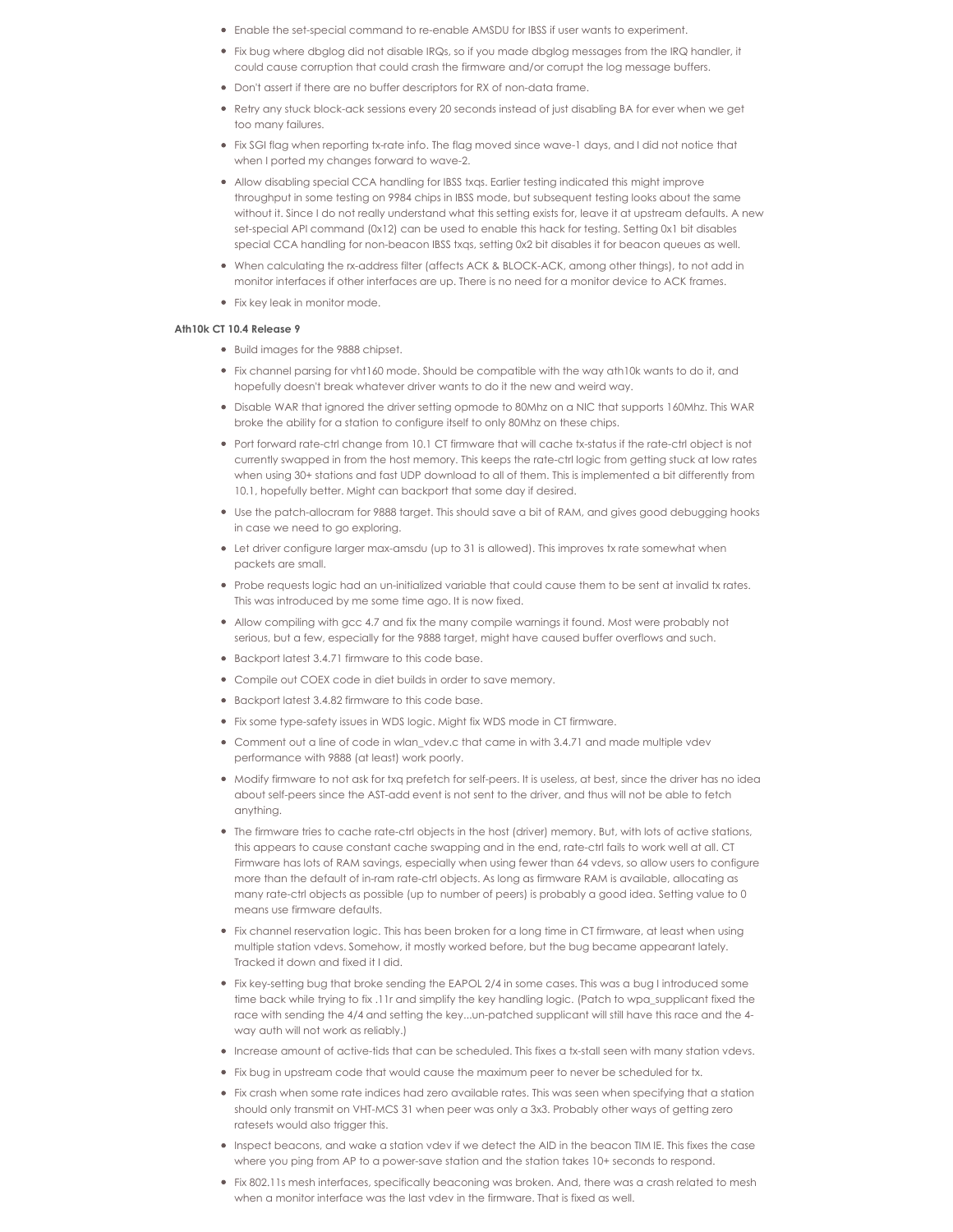- Enable the set-special command to re-enable AMSDU for IBSS if user wants to experiment.
- Fix bug where dbglog did not disable IRQs, so if you made dbglog messages from the IRQ handler, it could cause corruption that could crash the firmware and/or corrupt the log message buffers.
- Don't assert if there are no buffer descriptors for RX of non-data frame.
- Retry any stuck block-ack sessions every 20 seconds instead of just disabling BA for ever when we get too many failures.
- Fix SGI flag when reporting tx-rate info. The flag moved since wave-1 days, and Idid not notice that when I ported my changes forward to wave-2.
- Allow disabling special CCA handling for IBSS txqs. Earlier testing indicated this might improve throughput in some testing on 9984 chips in IBSS mode, but subsequent testing looks about the same without it. Since Ido not really understand what this setting exists for, leave it at upstream defaults. A new set-special API command (0x12) can be used to enable this hack for testing. Setting 0x1 bit disables special CCA handling for non-beacon IBSS txqs, setting 0x2 bit disables it for beacon queues as well.
- When calculating the rx-address filter (affects ACK & BLOCK-ACK, among other things), to not add in monitor interfaces if other interfaces are up. There is no need for a monitor device to ACK frames.
- Fix key leak in monitor mode.

### **Ath10k CT 10.4 Release 9**

- Build images for the 9888 chipset.
- Fix channel parsing for vht160 mode. Should be compatible with the way ath10k wants to do it, and hopefully doesn't break whatever driver wants to do it the new and weird way.
- Disable WAR that ignored the driver setting opmode to 80Mhz on a NIC that supports 160Mhz. This WAR broke the ability for a station to configure itself to only 80Mhz on these chips.
- Port forward rate-ctrl change from 10.1 CT firmware that will cache tx-status if the rate-ctrl object is not currently swapped in from the host memory. This keeps the rate-ctrl logic from getting stuck at low rates when using 30+ stations and fast UDP download to all of them. This is implemented a bit differently from 10.1, hopefully better. Might can backport that some day if desired.
- Use the patch-allocram for 9888 target. This should save a bit of RAM, and gives good debugging hooks in case we need to go exploring.
- Let driver configure larger max-amsdu (up to 31 is allowed). This improves tx rate somewhat when packets are small.
- Probe requests logic had an un-initialized variable that could cause them to be sent at invalid tx rates. This was introduced by me some time ago. It is now fixed.
- Allow compiling with gcc 4.7 and fix the many compile warnings it found. Most were probably not serious, but a few, especially for the 9888 target, might have caused buffer overflows and such.
- Backport latest 3.4.71 firmware to this code base.
- Compile out COEX code in diet builds in order to save memory.
- Backport latest 3.4.82 firmware to this code base.
- Fix some type-safety issues in WDS logic. Might fix WDS mode in CT firmware.
- Comment out a line of code in wlan\_vdev.c that came in with 3.4.71 and made multiple vdev performance with 9888 (at least) work poorly.
- Modify firmware to not ask for txq prefetch for self-peers. It is useless, at best, since the driver has no idea about self-peers since the AST-add event is not sent to the driver, and thus will not be able to fetch anything.
- The firmware tries to cache rate-ctrl objects in the host (driver) memory. But, with lots of active stations, this appears to cause constant cache swapping and in the end, rate-ctrl fails to work well at all. CT Firmware has lots of RAM savings, especially when using fewer than 64 vdevs, so allow users to configure more than the default of in-ram rate-ctrl objects. As long as firmware RAM is available, allocating as many rate-ctrl objects as possible (up to number of peers) is probably a good idea. Setting value to 0 means use firmware defaults.
- Fix channel reservation logic. This has been broken for a long time in CT firmware, at least when using multiple station vdevs. Somehow, it mostly worked before, but the bug became appearant lately. Tracked it down and fixed it I did.
- Fix key-setting bug that broke sending the EAPOL 2/4 in some cases. This was a bug Iintroduced some time back while trying to fix .11r and simplify the key handling logic. (Patch to wpa\_supplicant fixed the race with sending the 4/4 and setting the key...un-patched supplicant will still have this race and the 4way auth will not work as reliably.)
- Increase amount of active-tids that can be scheduled. This fixes a tx-stall seen with many station vdevs.
- Fix bug in upstream code that would cause the maximum peer to never be scheduled for tx.
- Fix crash when some rate indices had zero available rates. This was seen when specifying that a station should only transmit on VHT-MCS 31 when peer was only a 3x3. Probably other ways of getting zero ratesets would also trigger this.
- Inspect beacons, and wake a station vdev if we detect the AID in the beacon TIM IE. This fixes the case where you ping from AP to a power-save station and the station takes 10+ seconds to respond.
- Fix 802.11s mesh interfaces, specifically beaconing was broken. And, there was a crash related to mesh when a monitor interface was the last vdev in the firmware. That is fixed as well.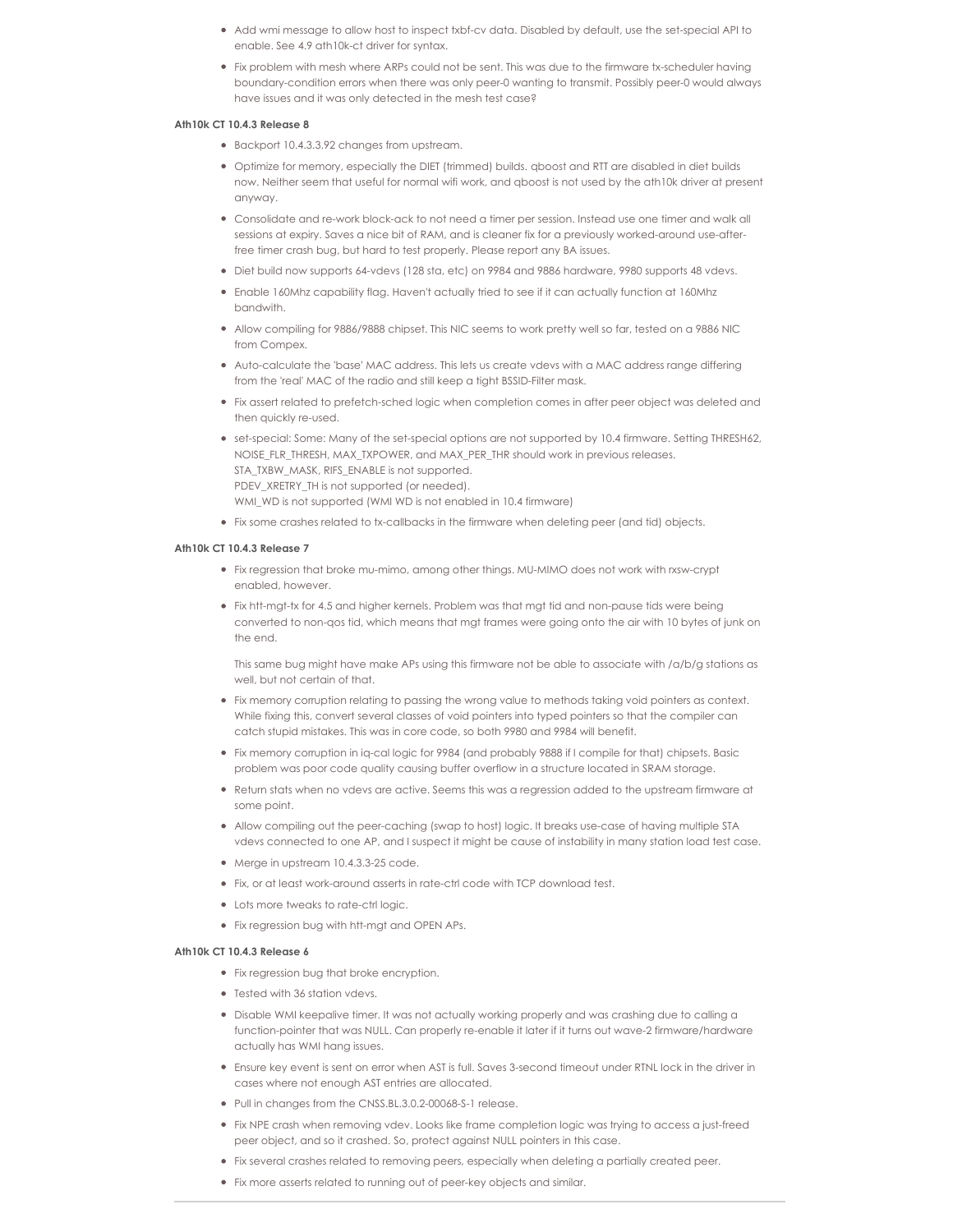- Add wmi message to allow host to inspect txbf-cv data. Disabled by default, use the set-special API to enable. See 4.9 ath10k-ct driver for syntax.
- Fix problem with mesh where ARPs could not be sent. This was due to the firmware tx-scheduler having boundary-condition errors when there was only peer-0 wanting to transmit. Possibly peer-0 would always have issues and it was only detected in the mesh test case?

### **Ath10k CT 10.4.3 Release 8**

- Backport 10.4.3.3.92 changes from upstream.
- Optimize for memory, especially the DIET (trimmed) builds. qboost and RTT are disabled in diet builds now. Neither seem that useful for normal wifi work, and qboost is not used by the ath10k driver at present anyway.
- Consolidate and re-work block-ack to not need a timer per session. Instead use one timer and walk all sessions at expiry. Saves a nice bit of RAM, and is cleaner fix for a previously worked-around use-afterfree timer crash bug, but hard to test properly. Please report any BA issues.
- Diet build now supports 64-vdevs (128 sta, etc) on 9984 and 9886 hardware, 9980 supports 48 vdevs.
- Enable 160Mhz capability flag. Haven't actually tried to see if it can actually function at 160Mhz bandwith.
- Allow compiling for 9886/9888 chipset. This NIC seems to work pretty well so far, tested on a 9886 NIC from Compex.
- Auto-calculate the 'base' MAC address. This lets us create vdevs with a MAC address range differing from the 'real' MAC of the radio and still keep a tight BSSID-Filter mask.
- Fix assert related to prefetch-sched logic when completion comes in after peer object was deleted and then quickly re-used.
- set-special: Some: Many of the set-special options are not supported by 10.4 firmware. Setting THRESH62, NOISE\_FLR\_THRESH, MAX\_TXPOWER, and MAX\_PER\_THR should work in previous releases. STA\_TXBW\_MASK, RIFS\_ENABLE is not supported. PDEV\_XRETRY\_TH is not supported (or needed). WMI\_WD is not supported (WMI WD is not enabled in 10.4 firmware)
- Fix some crashes related to tx-callbacks in the firmware when deleting peer (and tid) objects.

#### **Ath10k CT 10.4.3 Release 7**

- Fix regression that broke mu-mimo, among other things. MU-MIMO does not work with rxsw-crypt enabled, however.
- Fix htt-mgt-tx for 4.5 and higher kernels. Problem was that mgt tid and non-pause tids were being converted to non-qos tid, which means that mgt frames were going onto the air with 10 bytes of junk on the end.

This same bug might have make APs using this firmware not be able to associate with /a/b/g stations as well, but not certain of that.

- Fix memory corruption relating to passing the wrong value to methods taking void pointers as context. While fixing this, convert several classes of void pointers into typed pointers so that the compiler can catch stupid mistakes. This was in core code, so both 9980 and 9984 will benefit.
- Fix memory corruption in iq-cal logic for 9984 (and probably 9888 if I compile for that) chipsets. Basic problem was poor code quality causing buffer overflow in a structure located in SRAM storage.
- Return stats when no vdevs are active. Seems this was a regression added to the upstream firmware at some point.
- Allow compiling out the peer-caching (swap to host) logic. It breaks use-case of having multiple STA vdevs connected to one AP, and Isuspect it might be cause of instability in many station load test case.
- Merge in upstream 10.4.3.3-25 code.
- Fix, or at least work-around asserts in rate-ctrl code with TCP download test.
- Lots more tweaks to rate-ctrl logic.
- Fix regression bug with htt-mgt and OPEN APs.

#### **Ath10k CT 10.4.3 Release 6**

- Fix regression bug that broke encryption.
- Tested with 36 station vdevs.
- Disable WMI keepalive timer. It was not actually working properly and was crashing due to calling a function-pointer that was NULL. Can properly re-enable it later if it turns out wave-2 firmware/hardware actually has WMI hang issues.
- Ensure key event is sent on error when AST is full. Saves 3-second timeout under RTNL lock in the driver in cases where not enough AST entries are allocated.
- Pull in changes from the CNSS.BL.3.0.2-00068-S-1 release.
- Fix NPE crash when removing vdev. Looks like frame completion logic was trying to access a just-freed peer object, and so it crashed. So, protect against NULL pointers in this case.
- Fix several crashes related to removing peers, especially when deleting a partially created peer.
- Fix more asserts related to running out of peer-key objects and similar.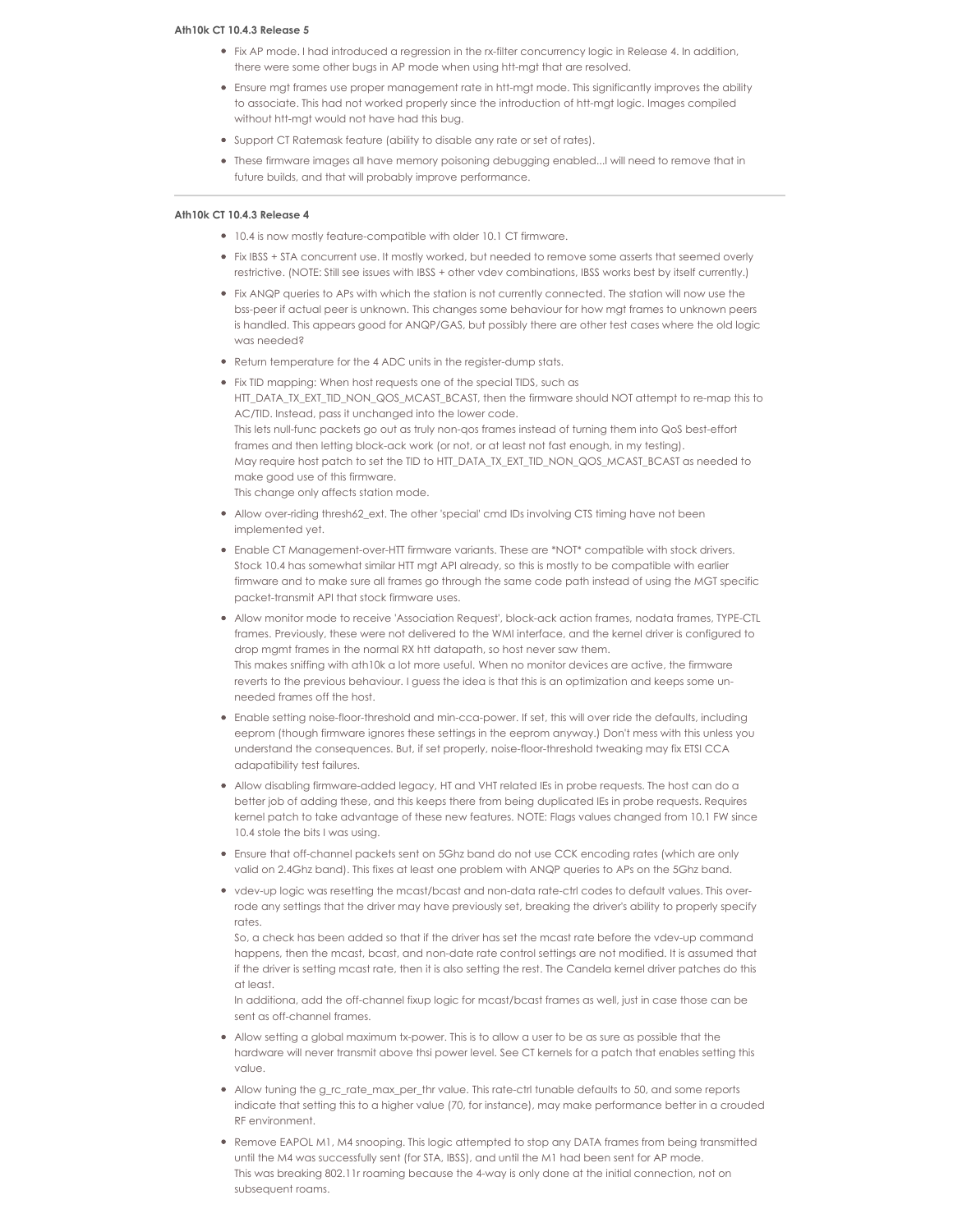# **Ath10k CT 10.4.3 Release 5**

- Fix AP mode. I had introduced a regression in the rx-filter concurrency logic in Release 4. In addition, there were some other bugs in AP mode when using htt-mgt that are resolved.
- Ensure mgt frames use proper management rate in htt-mgt mode. This significantly improves the ability to associate. This had not worked properly since the introduction of htt-mgt logic. Images compiled without htt-mgt would not have had this bug.
- Support CT Ratemask feature (ability to disable any rate or set of rates).
- These firmware images all have memory poisoning debugging enabled...I will need to remove that in future builds, and that will probably improve performance.

# **Ath10k CT 10.4.3 Release 4**

- 10.4 is now mostly feature-compatible with older 10.1 CT firmware.
- Fix IBSS + STA concurrent use. It mostly worked, but needed to remove some asserts that seemed overly restrictive. (NOTE: Still see issues with IBSS + other vdev combinations, IBSS works best by itself currently.)
- Fix ANQP queries to APs with which the station is not currently connected. The station will now use the bss-peer if actual peer is unknown. This changes some behaviour for how mgt frames to unknown peers is handled. This appears good for ANQP/GAS, but possibly there are other test cases where the old logic was needed?
- Return temperature for the 4 ADC units in the register-dump stats.

Fix TID mapping: When host requests one of the special TIDS, such as HTT\_DATA\_TX\_EXT\_TID\_NON\_QOS\_MCAST\_BCAST, then the firmware should NOT attempt to re-map this to AC/TID. Instead, pass it unchanged into the lower code. This lets null-func packets go out as truly non-qos frames instead of turning them into QoS best-effort frames and then letting block-ack work (or not, or at least not fast enough, in my testing). May require host patch to set the TID to HTT\_DATA\_TX\_EXT\_TID\_NON\_QOS\_MCAST\_BCAST as needed to make good use of this firmware. This change only affects station mode.

- Allow over-riding thresh62\_ext. The other 'special' cmd IDs involving CTS timing have not been implemented yet.
- Enable CT Management-over-HTT firmware variants. These are \*NOT\* compatible with stock drivers. Stock 10.4 has somewhat similar HTT mgt API already, so this is mostly to be compatible with earlier firmware and to make sure all frames go through the same code path instead of using the MGT specific packet-transmit API that stock firmware uses.
- Allow monitor mode to receive 'Association Request', block-ack action frames, nodata frames, TYPE-CTL frames. Previously, these were not delivered to the WMI interface, and the kernel driver is configured to drop mgmt frames in the normal RX htt datapath, so host never saw them. This makes sniffing with ath10k a lot more useful. When no monitor devices are active, the firmware reverts to the previous behaviour. I guess the idea is that this is an optimization and keeps some unneeded frames off the host.
- Enable setting noise-floor-threshold and min-cca-power. If set, this will over ride the defaults, including eeprom (though firmware ignores these settings in the eeprom anyway.) Don't mess with this unless you understand the consequences. But, if set properly, noise-floor-threshold tweaking may fix ETSI CCA adapatibility test failures.
- Allow disabling firmware-added legacy, HT and VHT related IEs in probe requests. The host can do a better job of adding these, and this keeps there from being duplicated IEs in probe requests. Requires kernel patch to take advantage of these new features. NOTE: Flags values changed from 10.1 FW since 10.4 stole the bits I was using.
- Ensure that off-channel packets sent on 5Ghz band do not use CCK encoding rates (which are only valid on 2.4Ghz band). This fixes at least one problem with ANQP queries to APs on the 5Ghz band.
- vdev-up logic was resetting the mcast/bcast and non-data rate-ctrl codes to default values. This overrode any settings that the driver may have previously set, breaking the driver's ability to properly specify rates.

So, a check has been added so that if the driver has set the mcast rate before the vdev-up command happens, then the mcast, bcast, and non-date rate control settings are not modified. It is assumed that if the driver is setting mcast rate, then it is also setting the rest. The Candela kernel driver patches do this at least.

In additiona, add the off-channel fixup logic for mcast/bcast frames as well, just in case those can be sent as off-channel frames.

- Allow setting a global maximum tx-power. This is to allow a user to be as sure as possible that the hardware will never transmit above thsi power level. See CT kernels for a patch that enables setting this value.
- Allow tuning the g\_rc\_rate\_max\_per\_thr value. This rate-ctrl tunable defaults to 50, and some reports indicate that setting this to a higher value (70, for instance), may make performance better in a crouded RF environment.
- Remove EAPOL M1, M4 snooping. This logic attempted to stop any DATA frames from being transmitted until the M4 was successfully sent (for STA, IBSS), and until the M1 had been sent for AP mode. This was breaking 802.11r roaming because the 4-way is only done at the initial connection, not on subsequent roams.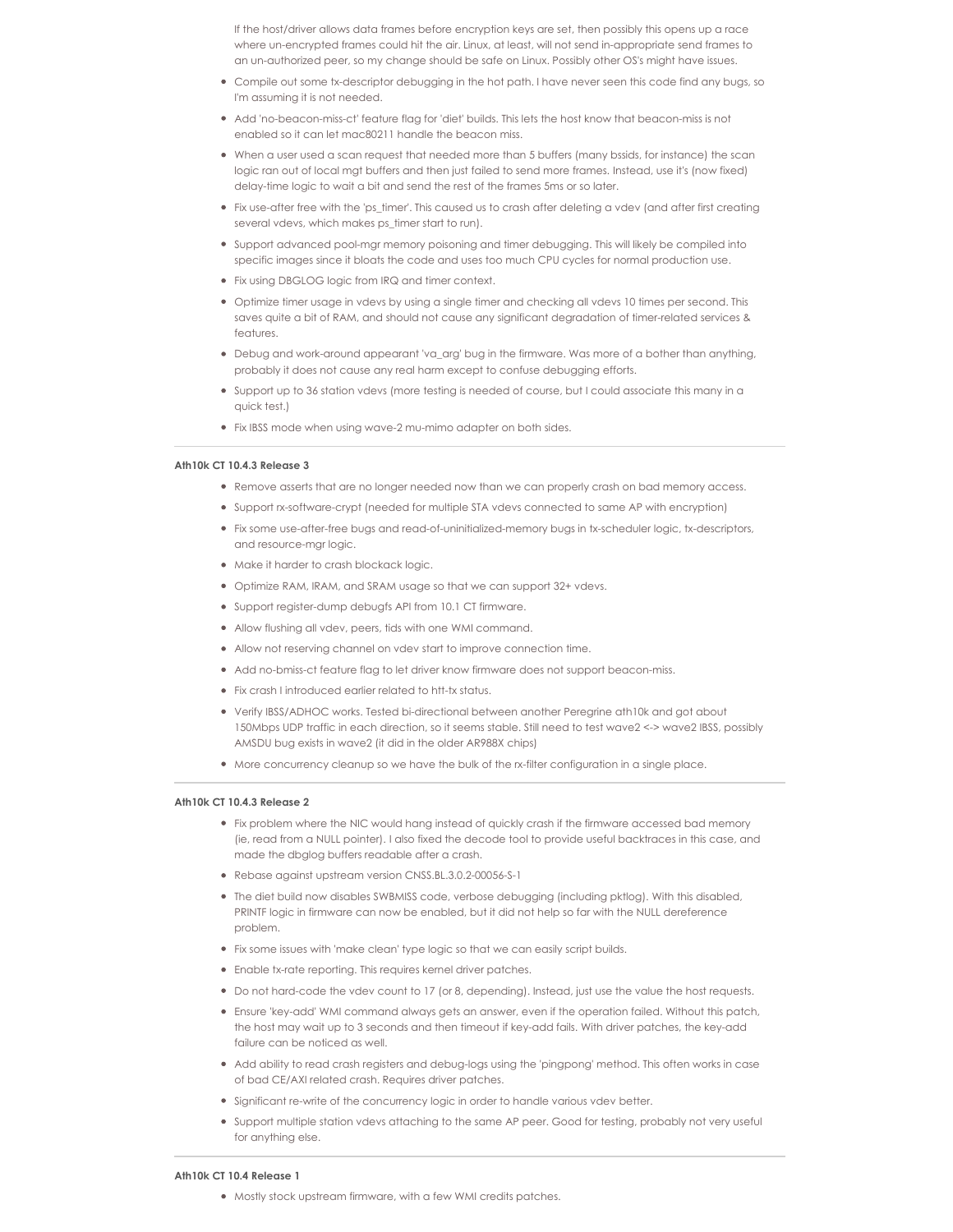If the host/driver allows data frames before encryption keys are set, then possibly this opens up a race where un-encrypted frames could hit the air. Linux, at least, will not send in-appropriate send frames to an un-authorized peer, so my change should be safe on Linux. Possibly other OS's might have issues.

- Compile out some tx-descriptor debugging in the hot path. I have never seen this code find any bugs, so I'm assuming it is not needed.
- Add 'no-beacon-miss-ct' feature flag for 'diet' builds. This lets the host know that beacon-miss is not enabled so it can let mac80211 handle the beacon miss.
- When a user used a scan request that needed more than 5 buffers (many bssids, for instance) the scan logic ran out of local mgt buffers and then just failed to send more frames. Instead, use it's (now fixed) delay-time logic to wait a bit and send the rest of the frames 5ms or so later.
- Fix use-after free with the 'ps\_timer'. This caused us to crash after deleting a vdev (and after first creating several vdevs, which makes ps\_timer start to run).
- Support advanced pool-mgr memory poisoning and timer debugging. This will likely be compiled into specific images since it bloats the code and uses too much CPU cycles for normal production use.
- Fix using DBGLOG logic from IRQ and timer context.
- Optimize timer usage in vdevs by using a single timer and checking all vdevs 10 times per second. This saves quite a bit of RAM, and should not cause any significant degradation of timer-related services & features.
- Debug and work-around appearant 'va\_arg' bug in the firmware. Was more of a bother than anything, probably it does not cause any real harm except to confuse debugging efforts.
- Support up to 36 station vdevs (more testing is needed of course, but I could associate this many in a quick test.)
- Fix IBSS mode when using wave-2 mu-mimo adapter on both sides.

# **Ath10k CT 10.4.3 Release 3**

- Remove asserts that are no longer needed now than we can properly crash on bad memory access.
- Support rx-software-crypt (needed for multiple STA vdevs connected to same AP with encryption)
- Fix some use-after-free bugs and read-of-uninitialized-memory bugs in tx-scheduler logic, tx-descriptors, and resource-mgr logic.
- Make it harder to crash blockack logic.
- Optimize RAM, IRAM, and SRAM usage so that we can support 32+ vdevs.
- Support register-dump debugfs API from 10.1 CT firmware.
- Allow flushing all vdev, peers, tids with one WMI command.
- Allow not reserving channel on vdev start to improve connection time.
- Add no-bmiss-ct feature flag to let driver know firmware does not support beacon-miss.
- Fix crash I introduced earlier related to htt-tx status.
- Verify IBSS/ADHOC works. Tested bi-directional between another Peregrine ath10k and got about 150Mbps UDP traffic in each direction, so it seems stable. Still need to test wave2 <-> wave2 IBSS, possibly AMSDU bug exists in wave2 (it did in the older AR988X chips)
- More concurrency cleanup so we have the bulk of the rx-filter configuration in a single place.

# **Ath10k CT 10.4.3 Release 2**

- Fix problem where the NIC would hang instead of quickly crash if the firmware accessed bad memory (ie, read from a NULL pointer). I also fixed the decode tool to provide useful backtraces in this case, and made the dbglog buffers readable after a crash.
- Rebase against upstream version CNSS.BL.3.0.2-00056-S-1
- The diet build now disables SWBMISS code, verbose debugging (including pktlog). With this disabled, PRINTF logic in firmware can now be enabled, but it did not help so far with the NULL dereference problem.
- Fix some issues with 'make clean' type logic so that we can easily script builds.
- Enable tx-rate reporting. This requires kernel driver patches.
- Do not hard-code the vdev count to 17 (or 8, depending). Instead, just use the value the host requests.
- Ensure 'key-add' WMI command always gets an answer, even if the operation failed. Without this patch, the host may wait up to 3 seconds and then timeout if key-add fails. With driver patches, the key-add failure can be noticed as well.
- Add ability to read crash registers and debug-logs using the 'pingpong' method. This often works in case of bad CE/AXI related crash. Requires driver patches.
- Significant re-write of the concurrency logic in order to handle various vdev better.
- Support multiple station vdevs attaching to the same AP peer. Good for testing, probably not very useful for anything else.

#### **Ath10k CT 10.4 Release 1**

Mostly stock upstream firmware, with a few WMI credits patches.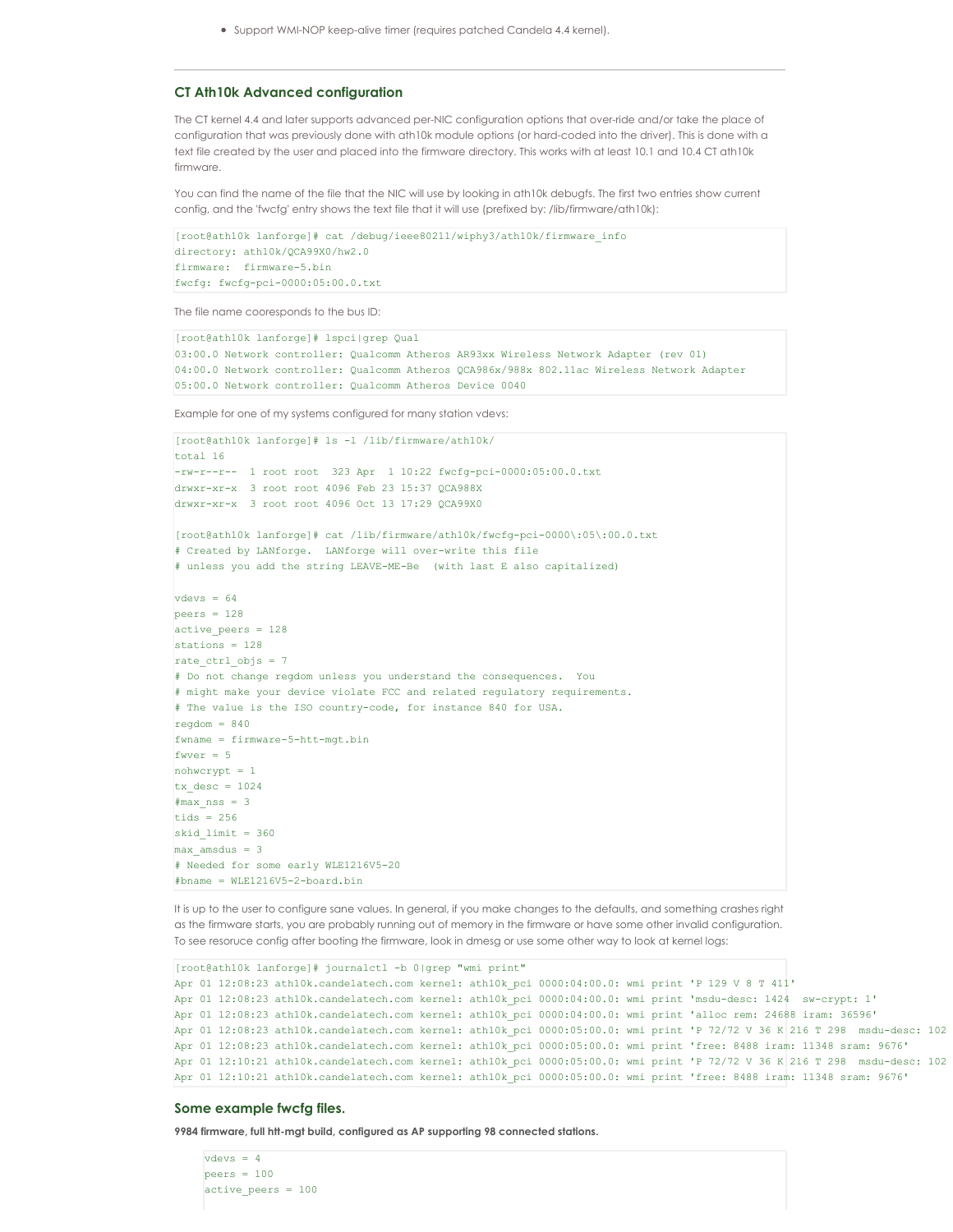Support WMI-NOP keep-alive timer (requires patched Candela 4.4 kernel).

# **CT Ath10k Advanced configuration**

The CT kernel 4.4 and later supports advanced per-NIC configuration options that over-ride and/or take the place of configuration that was previously done with ath10k module options (or hard-coded into the driver). This is done with a text file created by the user and placed into the firmware directory. This works with at least 10.1 and 10.4 CT ath10k firmware.

You can find the name of the file that the NIC will use by looking in ath10k debugfs. The first two entries show current config, and the 'fwcfg' entry shows the text file that it will use (prefixed by: /lib/firmware/ath10k):

```
[root@ath10k lanforge]# cat /debug/ieee80211/wiphy3/ath10k/firmware_info
directory: ath10k/QCA99X0/hw2.0
firmware: firmware-5.bin
fwcfg: fwcfg-pci-0000:05:00.0.txt
```
The file name cooresponds to the bus ID:

```
[root@ath10k lanforge]# lspci|grep Qual
03:00.0 Network controller: Qualcomm Atheros AR93xx Wireless Network Adapter (rev 01)
04:00.0 Network controller: Qualcomm Atheros QCA986x/988x 802.11ac Wireless Network Adapter
05:00.0 Network controller: Qualcomm Atheros Device 0040
```
Example for one of my systems configured for many station vdevs:

```
[root@ath10k lanforge]# ls -l /lib/firmware/ath10k/
total 16
-rw-r--r-- 1 root root 323 Apr 1 10:22 fwcfg-pci-0000:05:00.0.txt
drwxr-xr-x 3 root root 4096 Feb 23 15:37 QCA988X
drwxr-xr-x 3 root root 4096 Oct 13 17:29 QCA99X0
[root@ath10k lanforge]# cat /lib/firmware/ath10k/fwcfg-pci-0000\:05\:00.0.txt
# Created by LANforge. LANforge will over-write this file
# unless you add the string LEAVE-ME-Be (with last E also capitalized)
vd = 64peers = 128active peers = 128stations = 128
rate ctrl objs = 7# Do not change regdom unless you understand the consequences. You
# might make your device violate FCC and related regulatory requirements.
# The value is the ISO country-code, for instance 840 for USA.
readom = 840fwname = firmware-5-htt-mgt.bin
f<sub>W</sub>ver = 5nohwcrypt = 1
tx desc = 1024\text{max} nss = 3
tids = 256skid limit = 360max amsdus = 3
# Needed for some early WLE1216V5-20
#bname = WLE1216V5-2-board.bin
```
It is up to the user to configure sane values. In general, if you make changes to the defaults, and something crashes right as the firmware starts, you are probably running out of memory in the firmware or have some other invalid configuration. To see resoruce config after booting the firmware, look in dmesg or use some other way to look at kernel logs:

```
[root@ath10k lanforge]# journalctl -b 0|grep "wmi print"
Apr 01 12:08:23 ath10k.candelatech.com kernel: ath10k_pci 0000:04:00.0: wmi print 'P 129 V 8 T 411'
Apr 01 12:08:23 ath10k.candelatech.com kernel: ath10k_pci 0000:04:00.0: wmi print 'msdu-desc: 1424 sw-crypt: 1'
Apr 01 12:08:23 ath10k.candelatech.com kernel: ath10k_pci 0000:04:00.0: wmi print 'alloc rem: 24688 iram: 36596'
Apr 01 12:08:23 ath10k.candelatech.com kernel: ath10k pci 0000:05:00.0: wmi print 'P 72/72 V 36 K 216 T 298 msdu-desc: 102
Apr 01 12:08:23 ath10k.candelatech.com kernel: ath10k_pci 0000:05:00.0: wmi print 'free: 8488 iram: 11348 sram: 9676'
Apr 01 12:10:21 ath10k.candelatech.com kernel: ath10k_pci 0000:05:00.0: wmi print 'P 72/72 V 36 K 216 T 298 msdu-desc: 102
Apr 01 12:10:21 ath10k.candelatech.com kernel: ath10k_pci 0000:05:00.0: wmi print 'free: 8488 iram: 11348 sram: 9676'
```
# **Some example fwcfg files.**

**9984 firmware, full htt-mgt build, configured as AP supporting 98 connected stations.**

```
vdevs = 4peers = 100active_peers = 100
```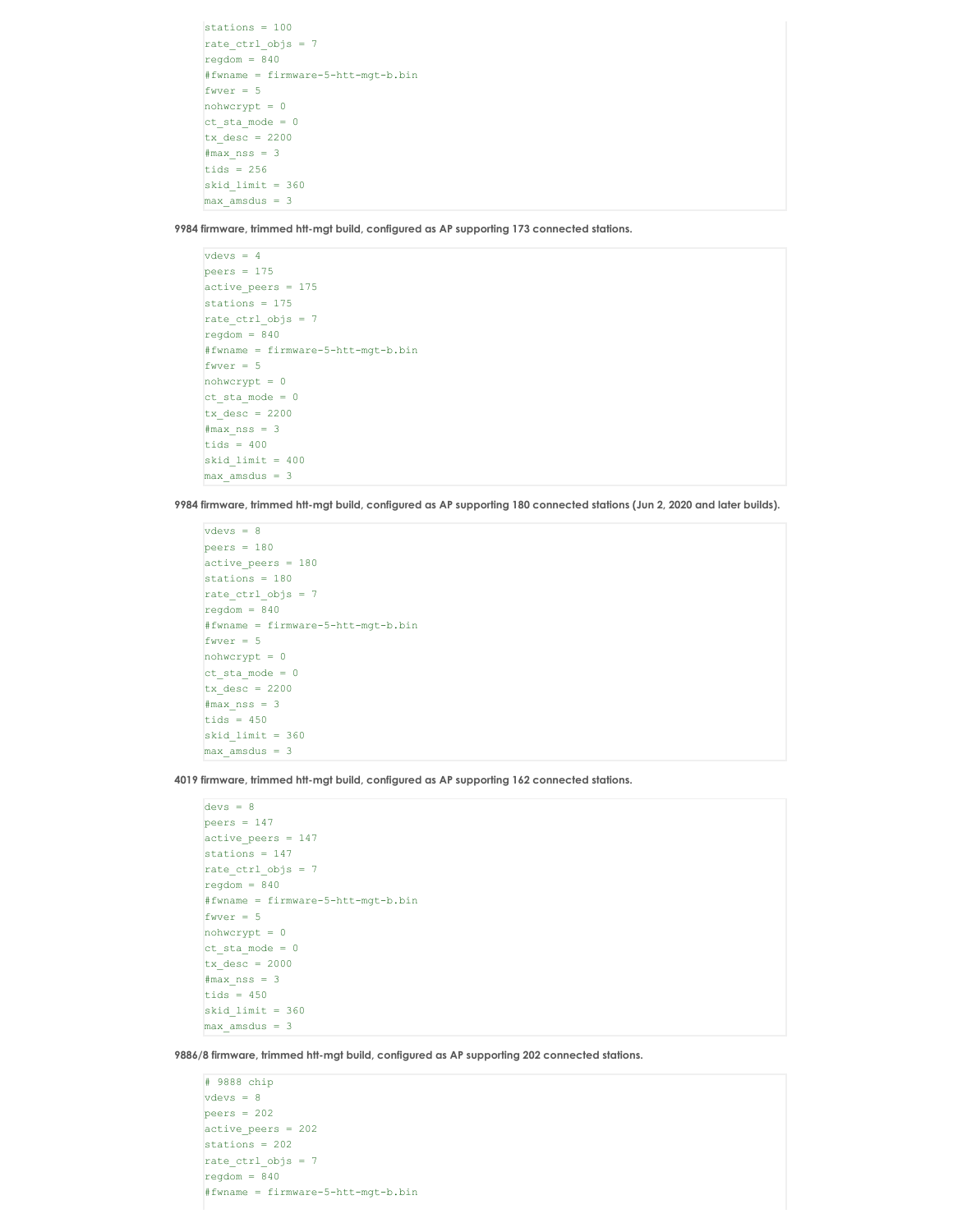```
stations = 100
rate_ctrl_objs = 7
regdom = 840#fwname = firmware-5-htt-mgt-b.bin
fwver = 5nohwcrypt = 0
ct\_sta\_mode = 0tx\_desc = 2200\text{Imax} nss = 3
tids = 256skid limit = 360max amsdus = 3
```
**9984 firmware, trimmed htt-mgt build, configured as AP supporting 173 connected stations.**

```
vdevs = 4peers = 175active_peers = 175
stations = 175
rate ctrl objs = 7regdom = 840#fwname = firmware-5-htt-mgt-b.bin
fwver = 5nohwcrypt = 0
ct sta mode = 0tx desc = 2200\text{max} nss = 3
tids = 400skid limit = 400max amsdus = 3
```
9984 firmware, trimmed htt-mgt build, configured as AP supporting 180 connected stations (Jun 2, 2020 and later builds).

```
vdevs = 8
peers = 180active peers = 180
stations = 180
rate_ctrl_objs = 7
regdom = 840#fwname = firmware-5-htt-mgt-b.bin
fwver = 5nohwcrypt = 0
ct\_sta\_mode = 0tx\_desc = 2200\text{Imax} nss = 3
tids = 450skid limit = 360max amsdus = 3
```
**4019 firmware, trimmed htt-mgt build, configured as AP supporting 162 connected stations.**

```
devs = 8peers = 147active peers = 147
stations = 147
rate_ctrl_objs = 7regdom = 840#fwname = firmware-5-htt-mgt-b.bin
fwer = 5nohwcrypt = 0ct\_sta\_mode = 0tx desc = 2000\text{max} nss = 3
tids = 450skid limit = 360max amsdus = 3
```
**9886/8 firmware, trimmed htt-mgt build, configured as AP supporting 202 connected stations.**

```
# 9888 chip
vdevs = 8
peers = 202
active_peers = 202
stations = 202
rate_ctrl_objs = 7reqdom = 840#fwname = firmware-5-htt-mgt-b.bin
```